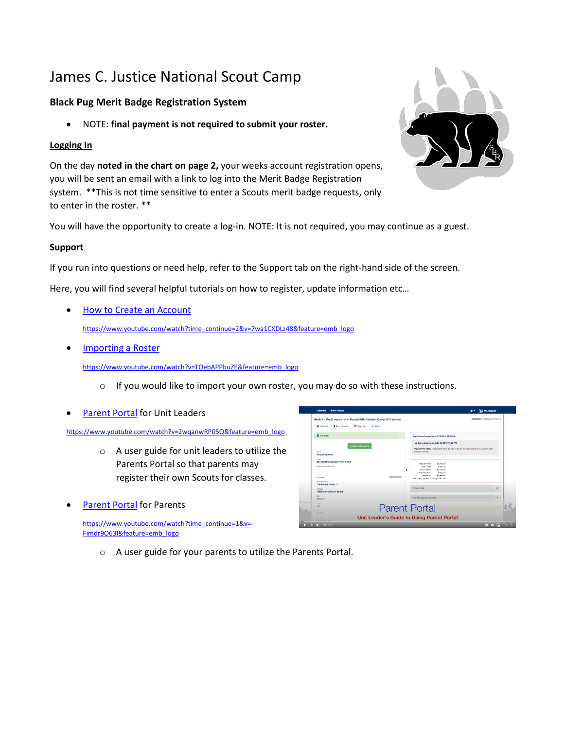# James C. Justice National Scout Camp

## **Black Pug Merit Badge Registration System**

• NOTE: **final payment is not required to submit your roster.**

## **Logging In**

On the day **noted in the chart on page 2,** your weeks account registration opens, you will be sent an email with a link to log into the Merit Badge Registration system. \*\*This is not time sensitive to enter a Scouts merit badge requests, only to enter in the roster. \*\*

You will have the opportunity to create a log-in. NOTE: It is not required, you may continue as a guest.

### **Support**

If you run into questions or need help, refer to the Support tab on the right-hand side of the screen.

Here, you will find several helpful tutorials on how to register, update information etc…

- [How to Create an Account](https://www.youtube.com/watch?time_continue=2&v=7wa1CXDLz48&feature=emb_logo) [https://www.youtube.com/watch?time\\_continue=2&v=7wa1CXDLz48&feature=emb\\_logo](https://www.youtube.com/watch?time_continue=2&v=7wa1CXDLz48&feature=emb_logo)
- **[Importing a Roster](https://www.youtube.com/watch?v=TOebAPPbuZE&feature=emb_logo)**

[https://www.youtube.com/watch?v=TOebAPPbuZE&feature=emb\\_logo](https://www.youtube.com/watch?v=TOebAPPbuZE&feature=emb_logo)

- $\circ$  If you would like to import your own roster, you may do so with these instructions.
- [Parent Portal](https://www.youtube.com/watch?v=2wqanwRP05Q&feature=emb_logo) for Unit Leaders

[https://www.youtube.com/watch?v=2wqanwRP05Q&feature=emb\\_logo](https://www.youtube.com/watch?v=2wqanwRP05Q&feature=emb_logo)

- o A user guide for unit leaders to utilize the Parents Portal so that parents may register their own Scouts for classes.
- Parent Portal for Parents

[https://www.youtube.com/watch?time\\_continue=1&v=-](https://www.youtube.com/watch?time_continue=1&v=-Fimdr9O63I&feature=emb_logo) [Fimdr9O63I&feature=emb\\_logo](https://www.youtube.com/watch?time_continue=1&v=-Fimdr9O63I&feature=emb_logo)





o A user guide for your parents to utilize the Parents Portal.